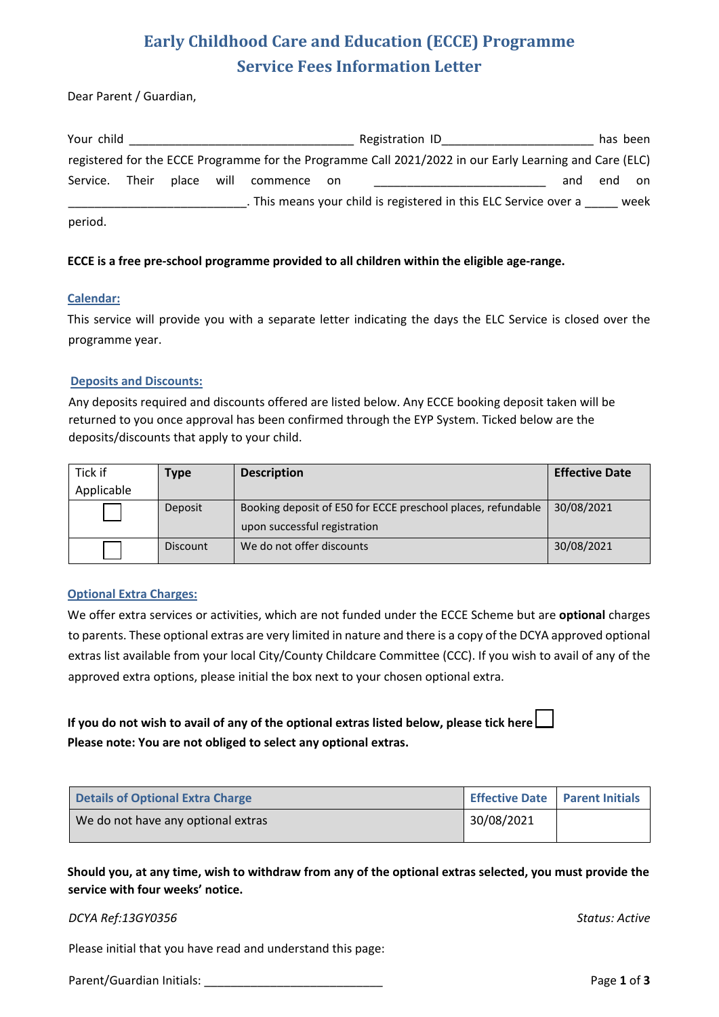# **Early Childhood Care and Education (ECCE) Programme Service Fees Information Letter**

Dear Parent / Guardian,

| Your child     |            |             | Registration ID                                                                                         |     |     | has been |
|----------------|------------|-------------|---------------------------------------------------------------------------------------------------------|-----|-----|----------|
|                |            |             | registered for the ECCE Programme for the Programme Call 2021/2022 in our Early Learning and Care (ELC) |     |     |          |
| Service. Their | place will | commence on |                                                                                                         | and | end | on       |
|                |            |             | . This means your child is registered in this ELC Service over a                                        |     |     | week     |
| period.        |            |             |                                                                                                         |     |     |          |

### **ECCE is a free pre-school programme provided to all children within the eligible age-range.**

### **Calendar:**

This service will provide you with a separate letter indicating the days the ELC Service is closed over the programme year.

#### **Deposits and Discounts:**

Any deposits required and discounts offered are listed below. Any ECCE booking deposit taken will be returned to you once approval has been confirmed through the EYP System. Ticked below are the deposits/discounts that apply to your child.

| Tick if    | Type            | <b>Description</b>                                           | <b>Effective Date</b> |
|------------|-----------------|--------------------------------------------------------------|-----------------------|
| Applicable |                 |                                                              |                       |
|            | Deposit         | Booking deposit of E50 for ECCE preschool places, refundable | 30/08/2021            |
|            |                 | upon successful registration                                 |                       |
|            | <b>Discount</b> | We do not offer discounts                                    | 30/08/2021            |

### **Optional Extra Charges:**

We offer extra services or activities, which are not funded under the ECCE Scheme but are **optional** charges to parents. These optional extras are very limited in nature and there is a copy of the DCYA approved optional extras list available from your local City/County Childcare Committee (CCC). If you wish to avail of any of the approved extra options, please initial the box next to your chosen optional extra.

## **If you do not wish to avail of any of the optional extras listed below, please tick here Please note: You are not obliged to select any optional extras.**

| <b>Details of Optional Extra Charge</b> | Effective Date   Parent Initials |  |
|-----------------------------------------|----------------------------------|--|
| We do not have any optional extras      | 30/08/2021                       |  |

**Should you, at any time, wish to withdraw from any of the optional extras selected, you must provide the service with four weeks' notice.**

### *DCYA Ref:13GY0356 Status: Active*

Please initial that you have read and understand this page:

Parent/Guardian Initials: \_\_\_\_\_\_\_\_\_\_\_\_\_\_\_\_\_\_\_\_\_\_\_\_\_\_\_ Page **1** of **3**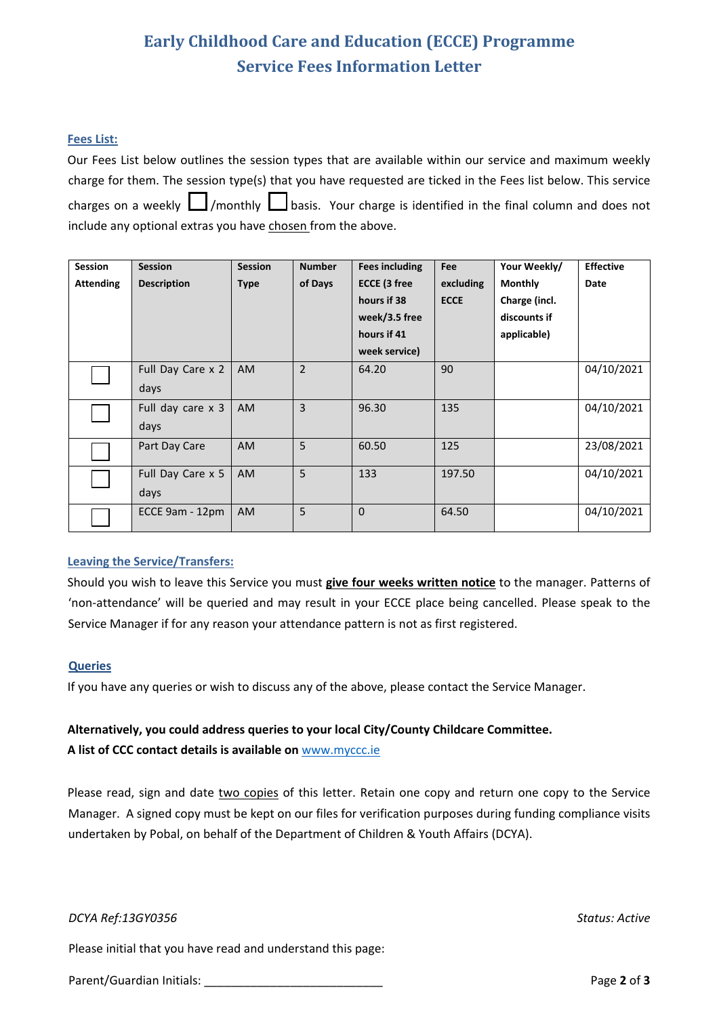# **Early Childhood Care and Education (ECCE) Programme Service Fees Information Letter**

### **Fees List:**

Our Fees List below outlines the session types that are available within our service and maximum weekly charge for them. The session type(s) that you have requested are ticked in the Fees list below. This service charges on a weekly  $\Box$ /monthly  $\Box$ basis. Your charge is identified in the final column and does not include any optional extras you have chosen from the above.

| <b>Session</b>   | <b>Session</b>     | <b>Session</b> | <b>Number</b>  | Fees including | <b>Fee</b>  | Your Weekly/   | <b>Effective</b> |
|------------------|--------------------|----------------|----------------|----------------|-------------|----------------|------------------|
| <b>Attending</b> | <b>Description</b> | <b>Type</b>    | of Days        | ECCE (3 free   | excluding   | <b>Monthly</b> | <b>Date</b>      |
|                  |                    |                |                | hours if 38    | <b>ECCE</b> | Charge (incl.  |                  |
|                  |                    |                |                | week/3.5 free  |             | discounts if   |                  |
|                  |                    |                |                | hours if 41    |             | applicable)    |                  |
|                  |                    |                |                | week service)  |             |                |                  |
|                  | Full Day Care x 2  | AM             | $\overline{2}$ | 64.20          | 90          |                | 04/10/2021       |
|                  | days               |                |                |                |             |                |                  |
|                  | Full day care x 3  | <b>AM</b>      | 3              | 96.30          | 135         |                | 04/10/2021       |
|                  | days               |                |                |                |             |                |                  |
|                  | Part Day Care      | <b>AM</b>      | 5              | 60.50          | 125         |                | 23/08/2021       |
|                  | Full Day Care x 5  | <b>AM</b>      | 5              | 133            | 197.50      |                | 04/10/2021       |
|                  | days               |                |                |                |             |                |                  |
|                  | ECCE 9am - 12pm    | <b>AM</b>      | 5              | $\mathbf 0$    | 64.50       |                | 04/10/2021       |

### **Leaving the Service/Transfers:**

Should you wish to leave this Service you must **give four weeks written notice** to the manager. Patterns of 'non-attendance' will be queried and may result in your ECCE place being cancelled. Please speak to the Service Manager if for any reason your attendance pattern is not as first registered.

### **Queries**

If you have any queries or wish to discuss any of the above, please contact the Service Manager.

### **Alternatively, you could address queries to your local City/County Childcare Committee.**

**A list of CCC contact details is available on** www.myccc.ie

Please read, sign and date two copies of this letter. Retain one copy and return one copy to the Service Manager. A signed copy must be kept on our files for verification purposes during funding compliance visits undertaken by Pobal, on behalf of the Department of Children & Youth Affairs (DCYA).

*DCYA Ref:13GY0356 Status: Active*

Please initial that you have read and understand this page:

Parent/Guardian Initials: **Parent/Guardian Initials: Page 2** of **3**